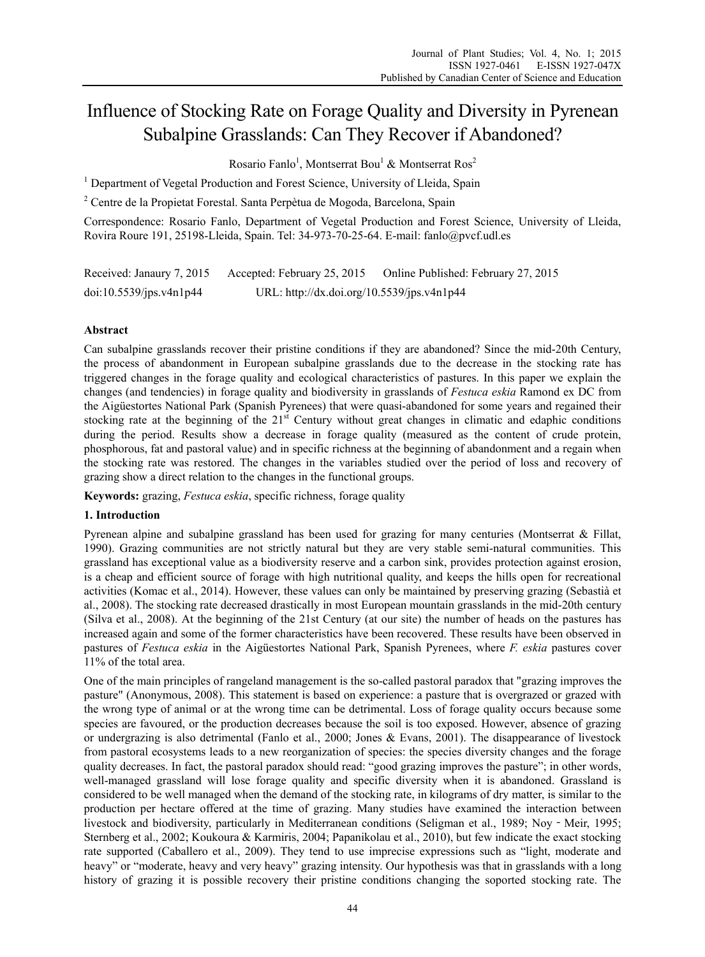# Influence of Stocking Rate on Forage Quality and Diversity in Pyrenean Subalpine Grasslands: Can They Recover if Abandoned?

Rosario Fanlo<sup>1</sup>, Montserrat Bou<sup>1</sup> & Montserrat Ros<sup>2</sup>

<sup>1</sup> Department of Vegetal Production and Forest Science, University of Lleida, Spain

<sup>2</sup> Centre de la Propietat Forestal. Santa Perpètua de Mogoda, Barcelona, Spain

Correspondence: Rosario Fanlo, Department of Vegetal Production and Forest Science, University of Lleida, Rovira Roure 191, 25198-Lleida, Spain. Tel: 34-973-70-25-64. E-mail: fanlo@pvcf.udl.es

| Received: Janaury 7, 2015 | Accepted: February 25, 2015                | Online Published: February 27, 2015 |
|---------------------------|--------------------------------------------|-------------------------------------|
| doi:10.5539/ips.v4n1p44   | URL: http://dx.doi.org/10.5539/jps.v4n1p44 |                                     |

# **Abstract**

Can subalpine grasslands recover their pristine conditions if they are abandoned? Since the mid-20th Century, the process of abandonment in European subalpine grasslands due to the decrease in the stocking rate has triggered changes in the forage quality and ecological characteristics of pastures. In this paper we explain the changes (and tendencies) in forage quality and biodiversity in grasslands of *Festuca eskia* Ramond ex DC from the Aigüestortes National Park (Spanish Pyrenees) that were quasi-abandoned for some years and regained their stocking rate at the beginning of the 21<sup>st</sup> Century without great changes in climatic and edaphic conditions during the period. Results show a decrease in forage quality (measured as the content of crude protein, phosphorous, fat and pastoral value) and in specific richness at the beginning of abandonment and a regain when the stocking rate was restored. The changes in the variables studied over the period of loss and recovery of grazing show a direct relation to the changes in the functional groups.

**Keywords:** grazing, *Festuca eskia*, specific richness, forage quality

# **1. Introduction**

Pyrenean alpine and subalpine grassland has been used for grazing for many centuries (Montserrat & Fillat, 1990). Grazing communities are not strictly natural but they are very stable semi-natural communities. This grassland has exceptional value as a biodiversity reserve and a carbon sink, provides protection against erosion, is a cheap and efficient source of forage with high nutritional quality, and keeps the hills open for recreational activities (Komac et al., 2014). However, these values can only be maintained by preserving grazing (Sebastià et al., 2008). The stocking rate decreased drastically in most European mountain grasslands in the mid-20th century (Silva et al., 2008). At the beginning of the 21st Century (at our site) the number of heads on the pastures has increased again and some of the former characteristics have been recovered. These results have been observed in pastures of *Festuca eskia* in the Aigüestortes National Park, Spanish Pyrenees, where *F. eskia* pastures cover 11% of the total area.

One of the main principles of rangeland management is the so-called pastoral paradox that "grazing improves the pasture" (Anonymous, 2008). This statement is based on experience: a pasture that is overgrazed or grazed with the wrong type of animal or at the wrong time can be detrimental. Loss of forage quality occurs because some species are favoured, or the production decreases because the soil is too exposed. However, absence of grazing or undergrazing is also detrimental (Fanlo et al., 2000; Jones & Evans, 2001). The disappearance of livestock from pastoral ecosystems leads to a new reorganization of species: the species diversity changes and the forage quality decreases. In fact, the pastoral paradox should read: "good grazing improves the pasture"; in other words, well-managed grassland will lose forage quality and specific diversity when it is abandoned. Grassland is considered to be well managed when the demand of the stocking rate, in kilograms of dry matter, is similar to the production per hectare offered at the time of grazing. Many studies have examined the interaction between livestock and biodiversity, particularly in Mediterranean conditions (Seligman et al., 1989; Noy‐Meir, 1995; Sternberg et al., 2002; Koukoura & Karmiris, 2004; Papanikolau et al., 2010), but few indicate the exact stocking rate supported (Caballero et al., 2009). They tend to use imprecise expressions such as "light, moderate and heavy" or "moderate, heavy and very heavy" grazing intensity. Our hypothesis was that in grasslands with a long history of grazing it is possible recovery their pristine conditions changing the soported stocking rate. The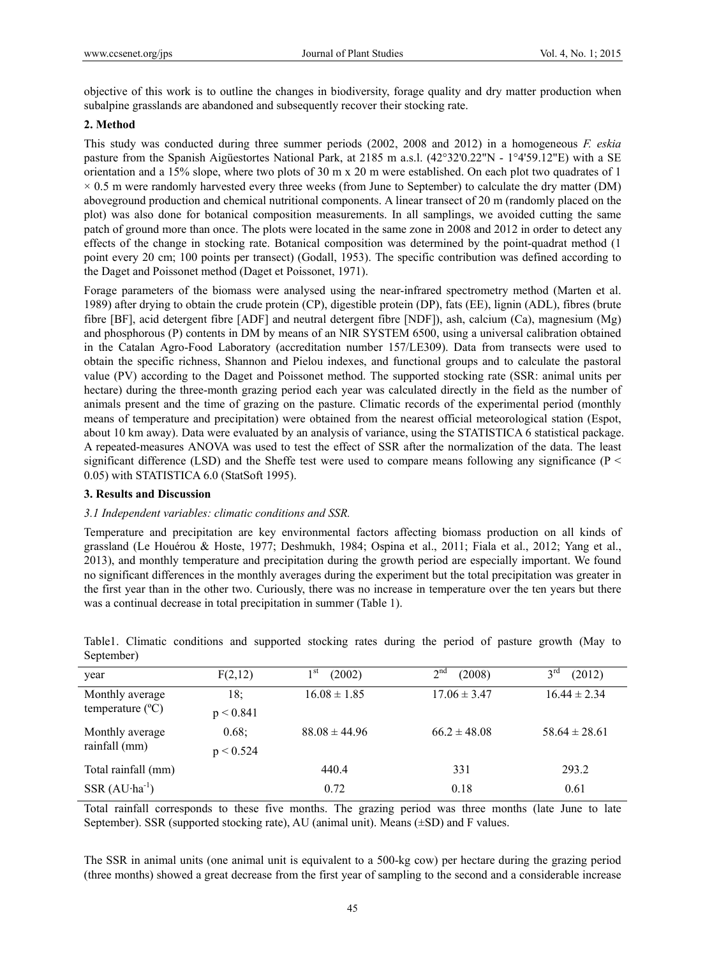objective of this work is to outline the changes in biodiversity, forage quality and dry matter production when subalpine grasslands are abandoned and subsequently recover their stocking rate.

## **2. Method**

This study was conducted during three summer periods (2002, 2008 and 2012) in a homogeneous *F. eskia* pasture from the Spanish Aigüestortes National Park, at 2185 m a.s.l. (42°32'0.22"N - 1°4'59.12"E) with a SE orientation and a 15% slope, where two plots of 30 m x 20 m were established. On each plot two quadrates of 1  $\times$  0.5 m were randomly harvested every three weeks (from June to September) to calculate the dry matter (DM) aboveground production and chemical nutritional components. A linear transect of 20 m (randomly placed on the plot) was also done for botanical composition measurements. In all samplings, we avoided cutting the same patch of ground more than once. The plots were located in the same zone in 2008 and 2012 in order to detect any effects of the change in stocking rate. Botanical composition was determined by the point-quadrat method (1 point every 20 cm; 100 points per transect) (Godall, 1953). The specific contribution was defined according to the Daget and Poissonet method (Daget et Poissonet, 1971).

Forage parameters of the biomass were analysed using the near-infrared spectrometry method (Marten et al. 1989) after drying to obtain the crude protein (CP), digestible protein (DP), fats (EE), lignin (ADL), fibres (brute fibre [BF], acid detergent fibre [ADF] and neutral detergent fibre [NDF]), ash, calcium (Ca), magnesium (Mg) and phosphorous (P) contents in DM by means of an NIR SYSTEM 6500, using a universal calibration obtained in the Catalan Agro-Food Laboratory (accreditation number 157/LE309). Data from transects were used to obtain the specific richness, Shannon and Pielou indexes, and functional groups and to calculate the pastoral value (PV) according to the Daget and Poissonet method. The supported stocking rate (SSR: animal units per hectare) during the three-month grazing period each year was calculated directly in the field as the number of animals present and the time of grazing on the pasture. Climatic records of the experimental period (monthly means of temperature and precipitation) were obtained from the nearest official meteorological station (Espot, about 10 km away). Data were evaluated by an analysis of variance, using the STATISTICA 6 statistical package. A repeated-measures ANOVA was used to test the effect of SSR after the normalization of the data. The least significant difference (LSD) and the Sheffe test were used to compare means following any significance ( $P \leq$ 0.05) with STATISTICA 6.0 (StatSoft 1995).

## **3. Results and Discussion**

## *3.1 Independent variables: climatic conditions and SSR.*

Temperature and precipitation are key environmental factors affecting biomass production on all kinds of grassland (Le Houérou & Hoste, 1977; Deshmukh, 1984; Ospina et al., 2011; Fiala et al., 2012; Yang et al., 2013), and monthly temperature and precipitation during the growth period are especially important. We found no significant differences in the monthly averages during the experiment but the total precipitation was greater in the first year than in the other two. Curiously, there was no increase in temperature over the ten years but there was a continual decrease in total precipitation in summer (Table 1).

| year                             | F(2,12)   | $1^{\rm st}$<br>(2002) | $\gamma$ nd<br>(2008) | 3 <sup>rd</sup><br>(2012) |
|----------------------------------|-----------|------------------------|-----------------------|---------------------------|
| Monthly average                  | 18;       | $16.08 \pm 1.85$       | $17.06 \pm 3.47$      | $16.44 \pm 2.34$          |
| temperature $(^{\circ}C)$        | p < 0.841 |                        |                       |                           |
| Monthly average<br>rainfall (mm) | 0.68;     | $88.08 \pm 44.96$      | $66.2 \pm 48.08$      | $58.64 \pm 28.61$         |
|                                  | p < 0.524 |                        |                       |                           |
| Total rainfall (mm)              |           | 440.4                  | 331                   | 293.2                     |
| $SSR (AU·ha-1)$                  |           | 0.72                   | 0.18                  | 0.61                      |

Table1. Climatic conditions and supported stocking rates during the period of pasture growth (May to September)

Total rainfall corresponds to these five months. The grazing period was three months (late June to late September). SSR (supported stocking rate), AU (animal unit). Means  $(\pm SD)$  and F values.

The SSR in animal units (one animal unit is equivalent to a 500-kg cow) per hectare during the grazing period (three months) showed a great decrease from the first year of sampling to the second and a considerable increase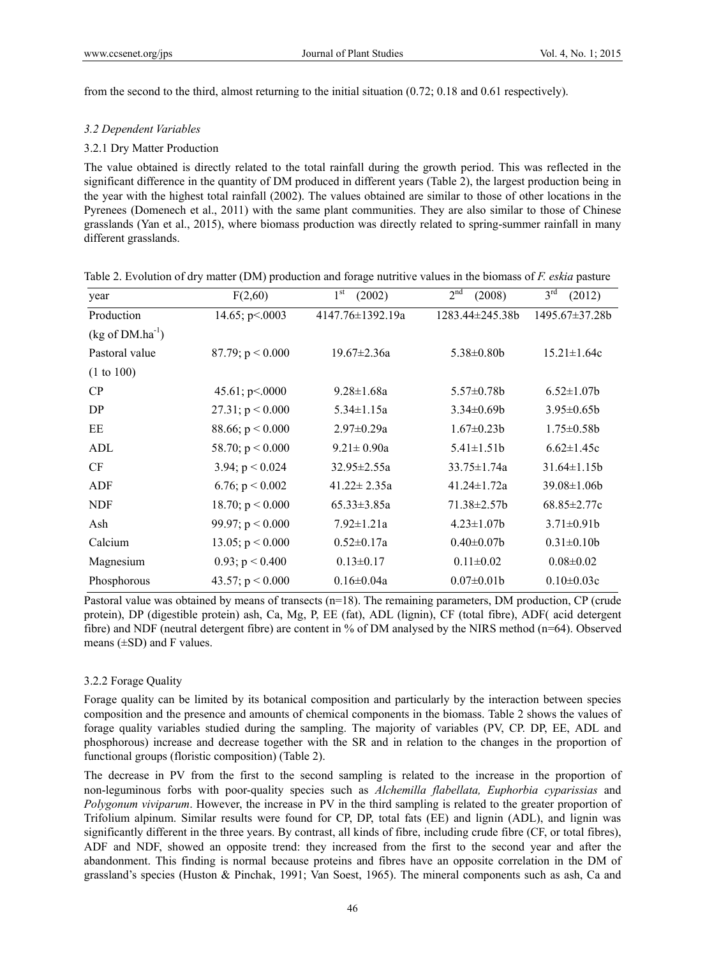from the second to the third, almost returning to the initial situation (0.72; 0.18 and 0.61 respectively).

#### *3.2 Dependent Variables*

#### 3.2.1 Dry Matter Production

The value obtained is directly related to the total rainfall during the growth period. This was reflected in the significant difference in the quantity of DM produced in different years (Table 2), the largest production being in the year with the highest total rainfall (2002). The values obtained are similar to those of other locations in the Pyrenees (Domenech et al., 2011) with the same plant communities. They are also similar to those of Chinese grasslands (Yan et al., 2015), where biomass production was directly related to spring-summer rainfall in many different grasslands.

| year                          | F(2,60)            | $1^{\rm st}$<br>(2002) | 2 <sup>nd</sup><br>(2008) | 3 <sup>rd</sup><br>(2012) |
|-------------------------------|--------------------|------------------------|---------------------------|---------------------------|
| Production                    | 14.65; $p<0.003$   | $4147.76 \pm 1392.19a$ | $1283.44 \pm 245.38 b$    | 1495.67±37.28b            |
| $(kg \text{ of } DM.ha^{-1})$ |                    |                        |                           |                           |
| Pastoral value                | 87.79; $p < 0.000$ | $19.67 \pm 2.36a$      | $5.38 \pm 0.80$           | $15.21 \pm 1.64c$         |
| (1 to 100)                    |                    |                        |                           |                           |
| CP                            | 45.61; p < .0000   | $9.28 \pm 1.68a$       | $5.57 \pm 0.78$ b         | $6.52 \pm 1.07$           |
| DP                            | 27.31; $p < 0.000$ | $5.34 \pm 1.15a$       | $3.34 \pm 0.69 b$         | $3.95 \pm 0.65 b$         |
| EE                            | 88.66; $p < 0.000$ | $2.97 \pm 0.29a$       | $1.67 \pm 0.23b$          | $1.75 \pm 0.58$ b         |
| ADL                           | 58.70; $p < 0.000$ | $9.21 \pm 0.90a$       | $5.41 \pm 1.51b$          | $6.62 \pm 1.45c$          |
| <b>CF</b>                     | 3.94; $p < 0.024$  | $32.95 \pm 2.55a$      | $33.75 \pm 1.74a$         | $31.64 \pm 1.15b$         |
| ADF                           | 6.76; $p < 0.002$  | $41.22 \pm 2.35a$      | $41.24 \pm 1.72a$         | $39.08 \pm 1.06$          |
| <b>NDF</b>                    | 18.70; $p < 0.000$ | $65.33 \pm 3.85a$      | $71.38 \pm 2.57$          | $68.85 \pm 2.77c$         |
| Ash                           | 99.97; $p < 0.000$ | $7.92 \pm 1.21a$       | $4.23 \pm 1.07 b$         | $3.71 \pm 0.91$           |
| Calcium                       | 13.05; $p < 0.000$ | $0.52 \pm 0.17a$       | $0.40 \pm 0.07$           | $0.31 \pm 0.10b$          |
| Magnesium                     | 0.93; $p < 0.400$  | $0.13 \pm 0.17$        | $0.11 \pm 0.02$           | $0.08 \pm 0.02$           |
| Phosphorous                   | 43.57; $p < 0.000$ | $0.16 \pm 0.04a$       | $0.07 \pm 0.01$           | $0.10 \pm 0.03c$          |

Table 2. Evolution of dry matter (DM) production and forage nutritive values in the biomass of *F. eskia* pasture

Pastoral value was obtained by means of transects (n=18). The remaining parameters, DM production, CP (crude protein), DP (digestible protein) ash, Ca, Mg, P, EE (fat), ADL (lignin), CF (total fibre), ADF( acid detergent fibre) and NDF (neutral detergent fibre) are content in % of DM analysed by the NIRS method (n=64). Observed means  $(\pm SD)$  and F values.

## 3.2.2 Forage Quality

Forage quality can be limited by its botanical composition and particularly by the interaction between species composition and the presence and amounts of chemical components in the biomass. Table 2 shows the values of forage quality variables studied during the sampling. The majority of variables (PV, CP. DP, EE, ADL and phosphorous) increase and decrease together with the SR and in relation to the changes in the proportion of functional groups (floristic composition) (Table 2).

The decrease in PV from the first to the second sampling is related to the increase in the proportion of non-leguminous forbs with poor-quality species such as *Alchemilla flabellata, Euphorbia cyparissias* and *Polygonum viviparum*. However, the increase in PV in the third sampling is related to the greater proportion of Trifolium alpinum. Similar results were found for CP, DP, total fats (EE) and lignin (ADL), and lignin was significantly different in the three years. By contrast, all kinds of fibre, including crude fibre (CF, or total fibres), ADF and NDF, showed an opposite trend: they increased from the first to the second year and after the abandonment. This finding is normal because proteins and fibres have an opposite correlation in the DM of grassland's species (Huston & Pinchak, 1991; Van Soest, 1965). The mineral components such as ash, Ca and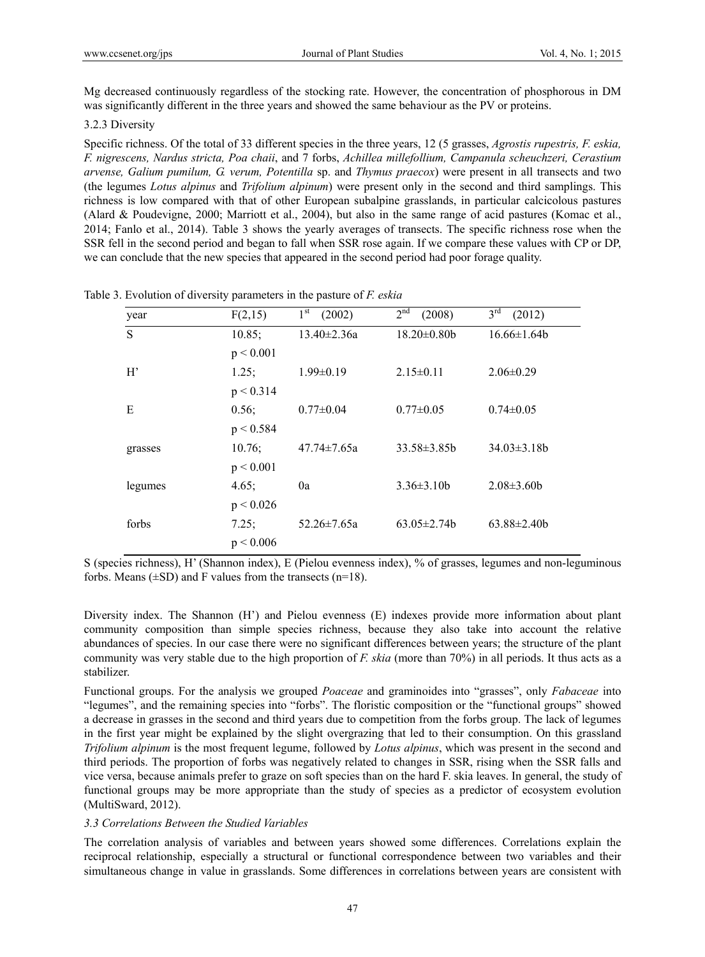Mg decreased continuously regardless of the stocking rate. However, the concentration of phosphorous in DM was significantly different in the three years and showed the same behaviour as the PV or proteins.

#### 3.2.3 Diversity

Specific richness. Of the total of 33 different species in the three years, 12 (5 grasses, *Agrostis rupestris, F. eskia, F. nigrescens, Nardus stricta, Poa chaii*, and 7 forbs, *Achillea millefollium, Campanula scheuchzeri, Cerastium arvense, Galium pumilum, G. verum, Potentilla* sp. and *Thymus praecox*) were present in all transects and two (the legumes *Lotus alpinus* and *Trifolium alpinum*) were present only in the second and third samplings. This richness is low compared with that of other European subalpine grasslands, in particular calcicolous pastures (Alard & Poudevigne, 2000; Marriott et al., 2004), but also in the same range of acid pastures (Komac et al., 2014; Fanlo et al., 2014). Table 3 shows the yearly averages of transects. The specific richness rose when the SSR fell in the second period and began to fall when SSR rose again. If we compare these values with CP or DP, we can conclude that the new species that appeared in the second period had poor forage quality.

| year    | F(2,15)   | 1 <sup>st</sup><br>(2002) | 2 <sup>nd</sup><br>(2008) | $3^{\text{rd}}$<br>(2012) |
|---------|-----------|---------------------------|---------------------------|---------------------------|
| S       | 10.85;    | 13.40±2.36a               | $18.20 \pm 0.80$          | $16.66 \pm 1.64b$         |
|         | p < 0.001 |                           |                           |                           |
| H'      | 1.25;     | $1.99 \pm 0.19$           | $2.15 \pm 0.11$           | $2.06\pm0.29$             |
|         | p < 0.314 |                           |                           |                           |
| Е       | 0.56;     | $0.77 \pm 0.04$           | $0.77 \pm 0.05$           | $0.74 \pm 0.05$           |
|         | p < 0.584 |                           |                           |                           |
| grasses | 10.76;    | $47.74 \pm 7.65a$         | $33.58 \pm 3.85b$         | $34.03 \pm 3.18b$         |
|         | p < 0.001 |                           |                           |                           |
| legumes | 4.65;     | 0a                        | $3.36 \pm 3.10b$          | $2.08 \pm 3.60 b$         |
|         | p < 0.026 |                           |                           |                           |
| forbs   | 7.25;     | $52.26 \pm 7.65a$         | $63.05 \pm 2.74$          | $63.88 \pm 2.40 b$        |
|         | p < 0.006 |                           |                           |                           |

Table 3. Evolution of diversity parameters in the pasture of *F. eskia*

S (species richness), H' (Shannon index), E (Pielou evenness index), % of grasses, legumes and non-leguminous forbs. Means  $(\pm SD)$  and F values from the transects (n=18).

Diversity index. The Shannon (H') and Pielou evenness (E) indexes provide more information about plant community composition than simple species richness, because they also take into account the relative abundances of species. In our case there were no significant differences between years; the structure of the plant community was very stable due to the high proportion of *F. skia* (more than 70%) in all periods. It thus acts as a stabilizer.

Functional groups. For the analysis we grouped *Poaceae* and graminoides into "grasses", only *Fabaceae* into "legumes", and the remaining species into "forbs". The floristic composition or the "functional groups" showed a decrease in grasses in the second and third years due to competition from the forbs group. The lack of legumes in the first year might be explained by the slight overgrazing that led to their consumption. On this grassland *Trifolium alpinum* is the most frequent legume, followed by *Lotus alpinus*, which was present in the second and third periods. The proportion of forbs was negatively related to changes in SSR, rising when the SSR falls and vice versa, because animals prefer to graze on soft species than on the hard F. skia leaves. In general, the study of functional groups may be more appropriate than the study of species as a predictor of ecosystem evolution (MultiSward, 2012).

# *3.3 Correlations Between the Studied Variables*

The correlation analysis of variables and between years showed some differences. Correlations explain the reciprocal relationship, especially a structural or functional correspondence between two variables and their simultaneous change in value in grasslands. Some differences in correlations between years are consistent with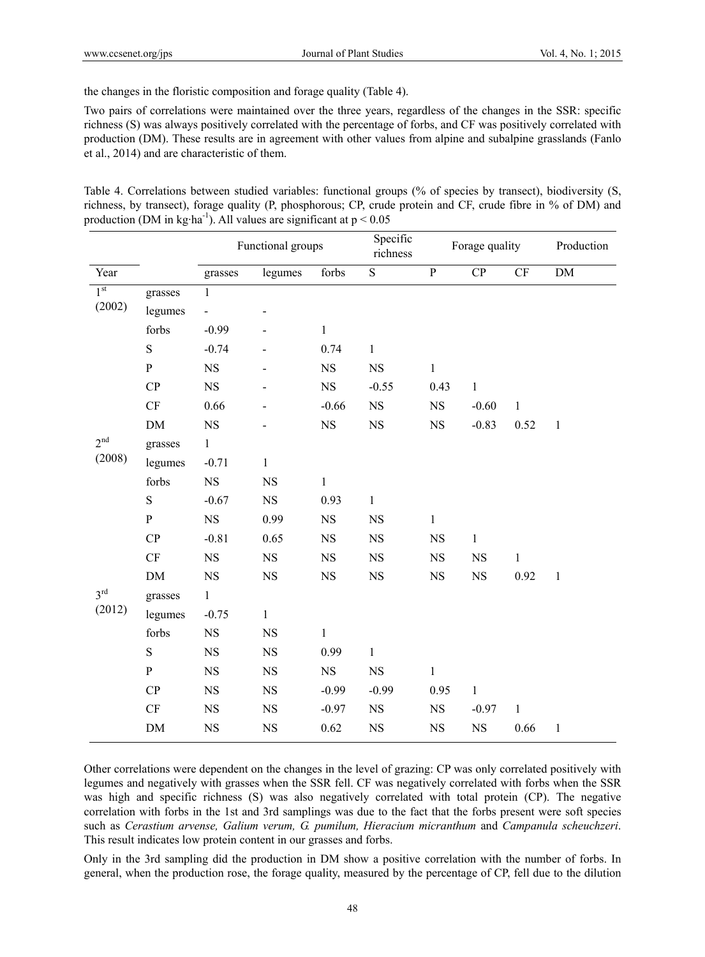the changes in the floristic composition and forage quality (Table 4).

Two pairs of correlations were maintained over the three years, regardless of the changes in the SSR: specific richness (S) was always positively correlated with the percentage of forbs, and CF was positively correlated with production (DM). These results are in agreement with other values from alpine and subalpine grasslands (Fanlo et al., 2014) and are characteristic of them.

Table 4. Correlations between studied variables: functional groups (% of species by transect), biodiversity (S, richness, by transect), forage quality (P, phosphorous; CP, crude protein and CF, crude fibre in % of DM) and production (DM in kg·ha<sup>-1</sup>). All values are significant at  $p < 0.05$ 

|                           |               | Functional groups        |              | Specific<br>richness | Forage quality |                | Production   |              |              |
|---------------------------|---------------|--------------------------|--------------|----------------------|----------------|----------------|--------------|--------------|--------------|
| Year                      |               | grasses                  | legumes      | forbs                | $\overline{S}$ | $\overline{P}$ | $\cal CP~$   | CF           | ${\rm DM}$   |
| 1 <sup>st</sup>           | grasses       | $\mathbf{1}$             |              |                      |                |                |              |              |              |
| (2002)                    | legumes       | $\overline{\phantom{0}}$ |              |                      |                |                |              |              |              |
|                           | forbs         | $-0.99$                  |              | $\mathbf{1}$         |                |                |              |              |              |
|                           | ${\bf S}$     | $-0.74$                  |              | 0.74                 | $\mathbf{1}$   |                |              |              |              |
|                           | ${\bf P}$     | $_{\rm NS}$              |              | $_{\rm NS}$          | $_{\rm NS}$    | $\mathbf{1}$   |              |              |              |
|                           | CP            | $_{\rm NS}$              |              | $_{\rm NS}$          | $-0.55$        | 0.43           | $\mathbf{1}$ |              |              |
|                           | $\mathrm{CF}$ | 0.66                     |              | $-0.66$              | $_{\rm NS}$    | $_{\rm NS}$    | $-0.60$      | $\mathbf{1}$ |              |
|                           | DM            | $_{\rm NS}$              |              | $_{\rm NS}$          | $_{\rm NS}$    | $_{\rm NS}$    | $-0.83$      | 0.52         | $\mathbf{1}$ |
| 2 <sup>nd</sup>           | grasses       | $\mathbf{1}$             |              |                      |                |                |              |              |              |
| (2008)                    | legumes       | $-0.71$                  | $\mathbf{1}$ |                      |                |                |              |              |              |
|                           | forbs         | <b>NS</b>                | <b>NS</b>    | $\,1$                |                |                |              |              |              |
|                           | ${\bf S}$     | $-0.67$                  | $_{\rm NS}$  | 0.93                 | $\,1$          |                |              |              |              |
|                           | ${\bf P}$     | $_{\rm NS}$              | 0.99         | $_{\rm NS}$          | $_{\rm NS}$    | $\,1$          |              |              |              |
|                           | CP            | $-0.81$                  | 0.65         | $_{\rm NS}$          | $_{\rm NS}$    | $_{\rm NS}$    | $\mathbf{1}$ |              |              |
|                           | CF            | NS                       | $_{\rm NS}$  | $_{\rm NS}$          | $_{\rm NS}$    | $_{\rm NS}$    | $_{\rm NS}$  | $\,1$        |              |
|                           | $DM$          | $_{\rm NS}$              | $_{\rm NS}$  | $_{\rm NS}$          | $_{\rm NS}$    | $_{\rm NS}$    | $_{\rm NS}$  | 0.92         | $\mathbf{1}$ |
| 3 <sup>rd</sup><br>(2012) | grasses       | $\mathbf{1}$             |              |                      |                |                |              |              |              |
|                           | legumes       | $-0.75$                  | $\mathbf{1}$ |                      |                |                |              |              |              |
|                           | forbs         | $_{\rm NS}$              | $_{\rm NS}$  | $\mathbf 1$          |                |                |              |              |              |
|                           | ${\bf S}$     | $_{\rm NS}$              | $_{\rm NS}$  | 0.99                 | $\,1$          |                |              |              |              |
|                           | ${\bf P}$     | $_{\rm NS}$              | $_{\rm NS}$  | $_{\rm NS}$          | $_{\rm NS}$    | $\mathbf{1}$   |              |              |              |
|                           | CP            | $_{\rm NS}$              | NS           | $-0.99$              | $-0.99$        | 0.95           | $\mathbf{1}$ |              |              |
|                           | $\cal{CF}$    | <b>NS</b>                | $_{\rm NS}$  | $-0.97$              | $_{\rm NS}$    | $_{\rm NS}$    | $-0.97$      | $\mathbf{1}$ |              |
|                           | $DM$          | $_{\rm NS}$              | NS           | 0.62                 | $_{\rm NS}$    | $_{\rm NS}$    | $_{\rm NS}$  | 0.66         | $\mathbf{1}$ |

Other correlations were dependent on the changes in the level of grazing: CP was only correlated positively with legumes and negatively with grasses when the SSR fell. CF was negatively correlated with forbs when the SSR was high and specific richness (S) was also negatively correlated with total protein (CP). The negative correlation with forbs in the 1st and 3rd samplings was due to the fact that the forbs present were soft species such as *Cerastium arvense, Galium verum, G. pumilum, Hieracium micranthum* and *Campanula scheuchzeri*. This result indicates low protein content in our grasses and forbs.

Only in the 3rd sampling did the production in DM show a positive correlation with the number of forbs. In general, when the production rose, the forage quality, measured by the percentage of CP, fell due to the dilution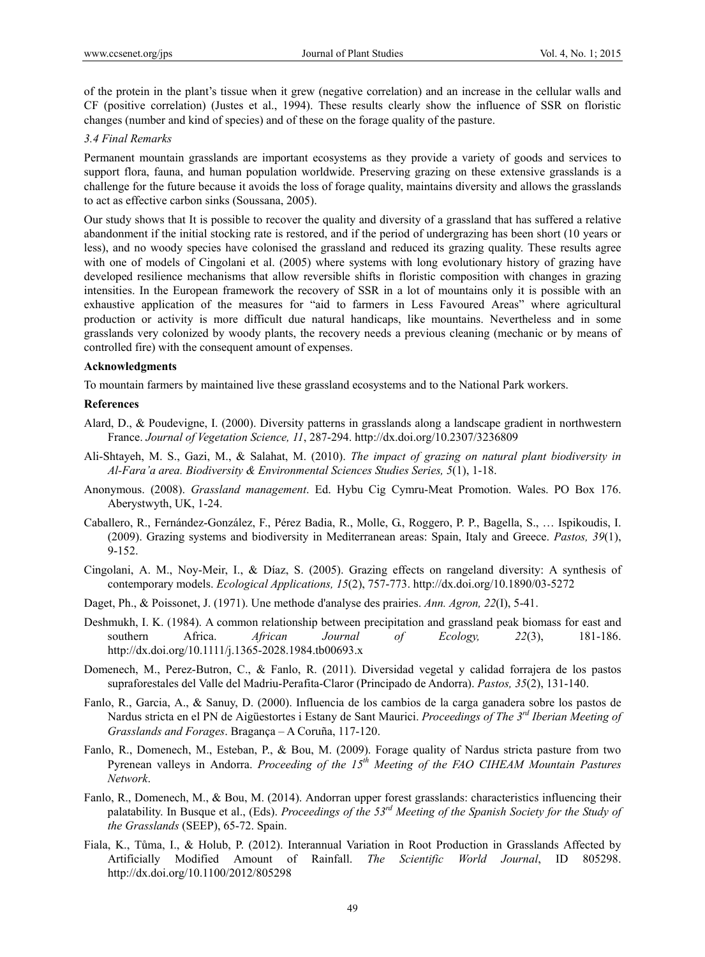of the protein in the plant's tissue when it grew (negative correlation) and an increase in the cellular walls and CF (positive correlation) (Justes et al., 1994). These results clearly show the influence of SSR on floristic changes (number and kind of species) and of these on the forage quality of the pasture.

#### *3.4 Final Remarks*

Permanent mountain grasslands are important ecosystems as they provide a variety of goods and services to support flora, fauna, and human population worldwide. Preserving grazing on these extensive grasslands is a challenge for the future because it avoids the loss of forage quality, maintains diversity and allows the grasslands to act as effective carbon sinks (Soussana, 2005).

Our study shows that It is possible to recover the quality and diversity of a grassland that has suffered a relative abandonment if the initial stocking rate is restored, and if the period of undergrazing has been short (10 years or less), and no woody species have colonised the grassland and reduced its grazing quality. These results agree with one of models of Cingolani et al. (2005) where systems with long evolutionary history of grazing have developed resilience mechanisms that allow reversible shifts in floristic composition with changes in grazing intensities. In the European framework the recovery of SSR in a lot of mountains only it is possible with an exhaustive application of the measures for "aid to farmers in Less Favoured Areas" where agricultural production or activity is more difficult due natural handicaps, like mountains. Nevertheless and in some grasslands very colonized by woody plants, the recovery needs a previous cleaning (mechanic or by means of controlled fire) with the consequent amount of expenses.

#### **Acknowledgments**

To mountain farmers by maintained live these grassland ecosystems and to the National Park workers.

#### **References**

- Alard, D., & Poudevigne, I. (2000). Diversity patterns in grasslands along a landscape gradient in northwestern France. *Journal of Vegetation Science, 11*, 287-294. http://dx.doi.org/10.2307/3236809
- Ali-Shtayeh, M. S., Gazi, M., & Salahat, M. (2010). *The impact of grazing on natural plant biodiversity in Al-Fara'a area. Biodiversity & Environmental Sciences Studies Series, 5*(1), 1-18.
- Anonymous. (2008). *Grassland management*. Ed. Hybu Cig Cymru-Meat Promotion. Wales. PO Box 176. Aberystwyth, UK, 1-24.
- Caballero, R., Fernández-González, F., Pérez Badia, R., Molle, G., Roggero, P. P., Bagella, S., … Ispikoudis, I. (2009). Grazing systems and biodiversity in Mediterranean areas: Spain, Italy and Greece. *Pastos, 39*(1), 9-152.
- Cingolani, A. M., Noy-Meir, I., & Díaz, S. (2005). Grazing effects on rangeland diversity: A synthesis of contemporary models. *Ecological Applications, 15*(2), 757-773. http://dx.doi.org/10.1890/03-5272
- Daget, Ph., & Poissonet, J. (1971). Une methode d'analyse des prairies. *Ann. Agron, 22*(I), 5-41.
- Deshmukh, I. K. (1984). A common relationship between precipitation and grassland peak biomass for east and southern Africa. *African Journal of Ecology, 22*(3), 181-186. http://dx.doi.org/10.1111/j.1365-2028.1984.tb00693.x
- Domenech, M., Perez-Butron, C., & Fanlo, R. (2011). Diversidad vegetal y calidad forrajera de los pastos supraforestales del Valle del Madriu-Perafita-Claror (Principado de Andorra). *Pastos, 35*(2), 131-140.
- Fanlo, R., Garcia, A., & Sanuy, D. (2000). Influencia de los cambios de la carga ganadera sobre los pastos de Nardus stricta en el PN de Aigüestortes i Estany de Sant Maurici. *Proceedings of The 3rd Iberian Meeting of Grasslands and Forages*. Bragança – A Coruña, 117-120.
- Fanlo, R., Domenech, M., Esteban, P., & Bou, M. (2009). Forage quality of Nardus stricta pasture from two Pyrenean valleys in Andorra. *Proceeding of the 15th Meeting of the FAO CIHEAM Mountain Pastures Network*.
- Fanlo, R., Domenech, M., & Bou, M. (2014). Andorran upper forest grasslands: characteristics influencing their palatability. In Busque et al., (Eds). *Proceedings of the 53rd Meeting of the Spanish Society for the Study of the Grasslands* (SEEP), 65-72. Spain.
- Fiala, K., Tůma, I., & Holub, P. (2012). Interannual Variation in Root Production in Grasslands Affected by Artificially Modified Amount of Rainfall. *The Scientific World Journal*, ID 805298. http://dx.doi.org/10.1100/2012/805298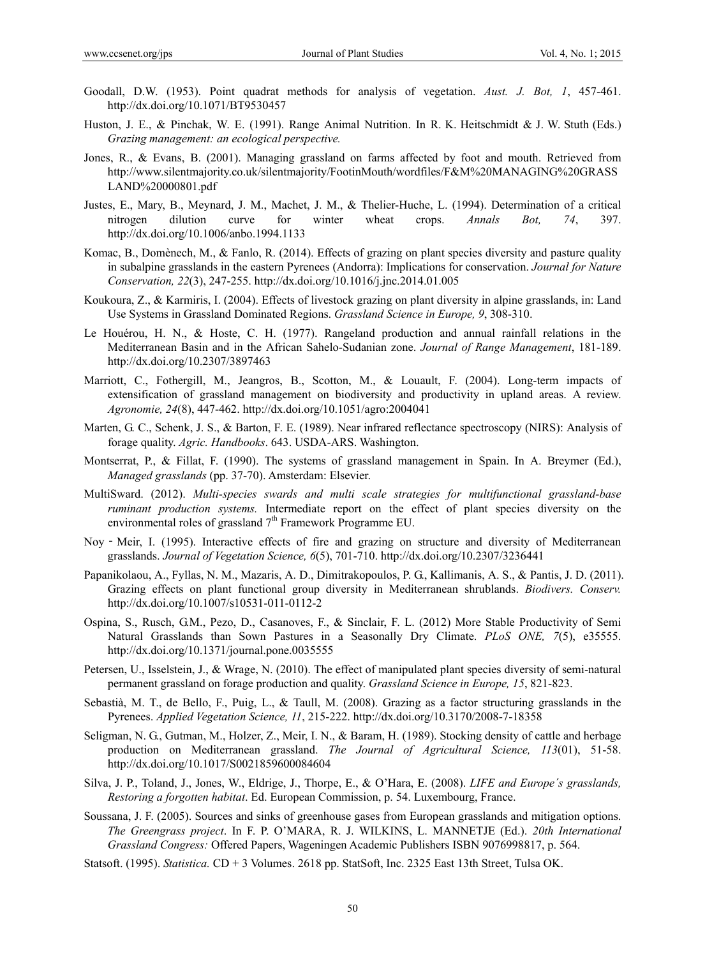- Goodall, D.W. (1953). Point quadrat methods for analysis of vegetation. *Aust. J. Bot, 1*, 457-461. http://dx.doi.org/10.1071/BT9530457
- Huston, J. E., & Pinchak, W. E. (1991). Range Animal Nutrition. In R. K. Heitschmidt & J. W. Stuth (Eds.) *Grazing management: an ecological perspective.*
- Jones, R., & Evans, B. (2001). Managing grassland on farms affected by foot and mouth. Retrieved from http://www.silentmajority.co.uk/silentmajority/FootinMouth/wordfiles/F&M%20MANAGING%20GRASS LAND%20000801.pdf
- Justes, E., Mary, B., Meynard, J. M., Machet, J. M., & Thelier-Huche, L. (1994). Determination of a critical nitrogen dilution curve for winter wheat crops. *Annals Bot, 74*, 397. http://dx.doi.org/10.1006/anbo.1994.1133
- Komac, B., Domènech, M., & Fanlo, R. (2014). Effects of grazing on plant species diversity and pasture quality in subalpine grasslands in the eastern Pyrenees (Andorra): Implications for conservation. *Journal for Nature Conservation, 22*(3), 247-255. http://dx.doi.org/10.1016/j.jnc.2014.01.005
- Koukoura, Z., & Karmiris, I. (2004). Effects of livestock grazing on plant diversity in alpine grasslands, in: Land Use Systems in Grassland Dominated Regions. *Grassland Science in Europe, 9*, 308-310.
- Le Houérou, H. N., & Hoste, C. H. (1977). Rangeland production and annual rainfall relations in the Mediterranean Basin and in the African Sahelo-Sudanian zone. *Journal of Range Management*, 181-189. http://dx.doi.org/10.2307/3897463
- Marriott, C., Fothergill, M., Jeangros, B., Scotton, M., & Louault, F. (2004). Long-term impacts of extensification of grassland management on biodiversity and productivity in upland areas. A review. *Agronomie, 24*(8), 447-462. http://dx.doi.org/10.1051/agro:2004041
- Marten, G. C., Schenk, J. S., & Barton, F. E. (1989). Near infrared reflectance spectroscopy (NIRS): Analysis of forage quality. *Agric. Handbooks*. 643. USDA-ARS. Washington.
- Montserrat, P., & Fillat, F. (1990). The systems of grassland management in Spain. In A. Breymer (Ed.), *Managed grasslands* (pp. 37-70). Amsterdam: Elsevier.
- MultiSward. (2012). *Multi-species swards and multi scale strategies for multifunctional grassland-base ruminant production systems.* Intermediate report on the effect of plant species diversity on the environmental roles of grassland 7<sup>th</sup> Framework Programme EU.
- Noy Meir, I. (1995). Interactive effects of fire and grazing on structure and diversity of Mediterranean grasslands. *Journal of Vegetation Science, 6*(5), 701-710. http://dx.doi.org/10.2307/3236441
- Papanikolaou, A., Fyllas, N. M., Mazaris, A. D., Dimitrakopoulos, P. G., Kallimanis, A. S., & Pantis, J. D. (2011). Grazing effects on plant functional group diversity in Mediterranean shrublands. *Biodivers. Conserv.* http://dx.doi.org/10.1007/s10531-011-0112-2
- Ospina, S., Rusch, G.M., Pezo, D., Casanoves, F., & Sinclair, F. L. (2012) More Stable Productivity of Semi Natural Grasslands than Sown Pastures in a Seasonally Dry Climate. *PLoS ONE, 7*(5), e35555. http://dx.doi.org/10.1371/journal.pone.0035555
- Petersen, U., Isselstein, J., & Wrage, N. (2010). The effect of manipulated plant species diversity of semi-natural permanent grassland on forage production and quality. *Grassland Science in Europe, 15*, 821-823.
- Sebastià, M. T., de Bello, F., Puig, L., & Taull, M. (2008). Grazing as a factor structuring grasslands in the Pyrenees. *Applied Vegetation Science, 11*, 215-222. http://dx.doi.org/10.3170/2008-7-18358
- Seligman, N. G., Gutman, M., Holzer, Z., Meir, I. N., & Baram, H. (1989). Stocking density of cattle and herbage production on Mediterranean grassland. *The Journal of Agricultural Science, 113*(01), 51-58. http://dx.doi.org/10.1017/S0021859600084604
- Silva, J. P., Toland, J., Jones, W., Eldrige, J., Thorpe, E., & O'Hara, E. (2008). *LIFE and Europe´s grasslands, Restoring a forgotten habitat*. Ed. European Commission, p. 54. Luxembourg, France.
- Soussana, J. F. (2005). Sources and sinks of greenhouse gases from European grasslands and mitigation options. *The Greengrass project*. In F. P. O'MARA, R. J. WILKINS, L. MANNETJE (Ed.). *20th International Grassland Congress:* Offered Papers, Wageningen Academic Publishers ISBN 9076998817, p. 564.
- Statsoft. (1995). *Statistica.* CD + 3 Volumes. 2618 pp. StatSoft, Inc. 2325 East 13th Street, Tulsa OK.